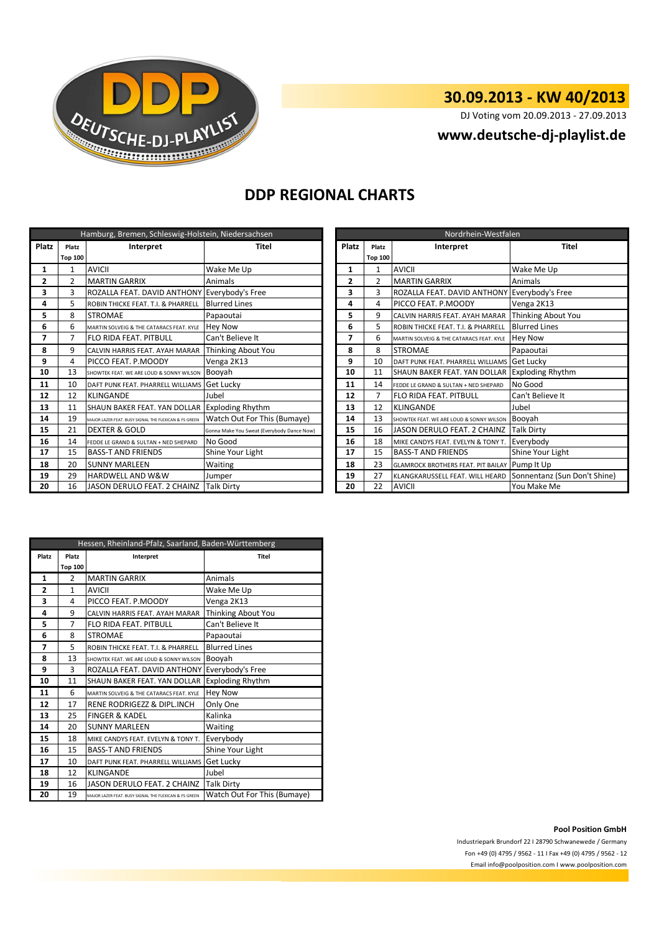

# **30.09.2013 - KW 40/2013**

DJ Voting vom 20.09.2013 - 27.09.2013

### **www.deutsche-dj-playlist.de**

## **DDP REGIONAL CHARTS**

| Hamburg, Bremen, Schleswig-Holstein, Niedersachsen |                |                                                       |                                            |           | Nordrhein-Westfalen |                |                                                              |                      |
|----------------------------------------------------|----------------|-------------------------------------------------------|--------------------------------------------|-----------|---------------------|----------------|--------------------------------------------------------------|----------------------|
| <b>Platz</b>                                       | Platz          | Interpret<br>Titel<br><b>Platz</b><br>Platz           |                                            | Interpret | <b>Titel</b>        |                |                                                              |                      |
|                                                    | <b>Top 100</b> |                                                       |                                            |           | <b>Top 100</b>      |                |                                                              |                      |
| 1                                                  |                | AVICII                                                | Wake Me Up                                 |           |                     | 1              | <b>AVICII</b>                                                | Wake Me Up           |
| 2                                                  | $\overline{2}$ | <b>MARTIN GARRIX</b>                                  | Animals                                    |           | 2                   | $\overline{2}$ | <b>MARTIN GARRIX</b>                                         | Animals              |
| 3                                                  | 3              | ROZALLA FEAT. DAVID ANTHONY Everybody's Free          |                                            |           | з                   | 3              | ROZALLA FEAT. DAVID ANTHONY Everybody's Free                 |                      |
| 4                                                  | 5              | ROBIN THICKE FEAT. T.I. & PHARRELL                    | <b>Blurred Lines</b>                       |           | 4                   | 4              | PICCO FEAT. P.MOODY                                          | Venga 2K13           |
| 5                                                  | 8              | <b>STROMAE</b>                                        | Papaoutai                                  |           | 9<br>5              |                | CALVIN HARRIS FEAT. AYAH MARAR                               | Thinking About You   |
| 6                                                  | 6              | MARTIN SOLVEIG & THE CATARACS FEAT. KYLE              | <b>Hey Now</b>                             |           | 6                   | 5              | ROBIN THICKE FEAT. T.I. & PHARRELL                           | <b>Blurred Lines</b> |
| 7                                                  | 7              | <b>FLO RIDA FEAT, PITBULL</b>                         | Can't Believe It                           |           | 7                   | 6              | MARTIN SOLVEIG & THE CATARACS FEAT. KYLE                     | Hey Now              |
| 8                                                  | 9              | CALVIN HARRIS FEAT. AYAH MARAR                        | Thinking About You                         |           | 8                   | 8              | <b>STROMAE</b>                                               | Papaoutai            |
| 9                                                  | 4              | PICCO FEAT. P.MOODY                                   | Venga 2K13                                 |           | 9                   | 10             | DAFT PUNK FEAT. PHARRELL WILLIAMS Get Lucky                  |                      |
| 10                                                 | 13             | SHOWTEK FEAT. WE ARE LOUD & SONNY WILSON              | Booyah                                     |           | 10                  | 11             | SHAUN BAKER FEAT. YAN DOLLAR Exploding Rhythm                |                      |
| 11                                                 | 10             | DAFT PUNK FEAT. PHARRELL WILLIAMS                     | <b>Get Lucky</b>                           |           | 11                  | 14             | FEDDE LE GRAND & SULTAN + NED SHEPARD                        | No Good              |
| 12                                                 | 12             | <b>KLINGANDE</b>                                      | Jubel                                      |           | 12                  | $\overline{7}$ | <b>FLO RIDA FEAT, PITBULL</b>                                | Can't Believe It     |
| 13                                                 | 11             | SHAUN BAKER FEAT. YAN DOLLAR                          | <b>Exploding Rhythm</b>                    |           | 13                  | 12             | <b>KLINGANDE</b>                                             | Jubel                |
| 14                                                 | 19             | MAJOR LAZER FEAT. BUSY SIGNAL THE FLEXICAN & FS GREEN | Watch Out For This (Bumaye)                |           | 14                  | 13             | SHOWTEK FEAT. WE ARE LOUD & SONNY WILSON                     | Booyah               |
| 15                                                 | 21             | <b>DEXTER &amp; GOLD</b>                              | Gonna Make You Sweat (Everybody Dance Now) |           | 15                  | 16             | JASON DERULO FEAT. 2 CHAINZ                                  | <b>Talk Dirty</b>    |
| 16                                                 | 14             | FEDDE LE GRAND & SULTAN + NED SHEPARD                 | No Good                                    |           | 16                  | 18             | MIKE CANDYS FEAT. EVELYN & TONY T.                           | Everybody            |
| 17                                                 | 15             | <b>BASS-T AND FRIENDS</b>                             | Shine Your Light                           |           | 17                  | 15             | <b>BASS-T AND FRIENDS</b>                                    | Shine Your Light     |
| 18                                                 | 20             | <b>SUNNY MARLEEN</b>                                  | Waiting                                    |           | 18                  | 23             | GLAMROCK BROTHERS FEAT. PIT BAILAY Pump It Up                |                      |
| 19                                                 | 29             | <b>HARDWELL AND W&amp;W</b>                           | Jumper                                     |           | 19                  | 27             | KLANGKARUSSELL FEAT. WILL HEARD Sonnentanz (Sun Don't Shine) |                      |
| 20                                                 | 16             | JASON DERULO FEAT. 2 CHAINZ                           | <b>Talk Dirty</b>                          |           | 20                  | 22             | <b>AVICII</b>                                                | You Make Me          |

| Nordrhein-Westfalen |                    |                                           |                              |  |  |
|---------------------|--------------------|-------------------------------------------|------------------------------|--|--|
| <b>Platz</b>        | Interpret<br>Platz |                                           | <b>Titel</b>                 |  |  |
|                     | <b>Top 100</b>     |                                           |                              |  |  |
| $\mathbf{1}$        | 1                  | <b>AVICII</b>                             | Wake Me Up                   |  |  |
| $\overline{2}$      | $\overline{2}$     | <b>MARTIN GARRIX</b>                      | Animals                      |  |  |
| 3                   | 3                  | ROZALLA FEAT. DAVID ANTHONY               | Everybody's Free             |  |  |
| 4                   | 4                  | PICCO FEAT. P.MOODY                       | Venga 2K13                   |  |  |
| 5                   | 9                  | CALVIN HARRIS FEAT, AYAH MARAR            | Thinking About You           |  |  |
| 6                   | 5                  | ROBIN THICKE FEAT. T.I. & PHARRELL        | <b>Blurred Lines</b>         |  |  |
| 7                   | 6                  | MARTIN SOLVEIG & THE CATARACS FEAT. KYLE  | <b>Hey Now</b>               |  |  |
| 8                   | 8                  | <b>STROMAE</b>                            | Papaoutai                    |  |  |
| 9                   | 10                 | DAFT PUNK FEAT. PHARRELL WILLIAMS         | Get Lucky                    |  |  |
| 10                  | 11                 | SHAUN BAKER FEAT. YAN DOLLAR              | <b>Exploding Rhythm</b>      |  |  |
| 11                  | 14                 | FFDDF LF GRAND & SULTAN + NFD SHFPARD     | No Good                      |  |  |
| 12                  | 7                  | <b>FLO RIDA FEAT, PITBULL</b>             | Can't Believe It             |  |  |
| 13                  | 12                 | <b>KLINGANDE</b>                          | Jubel                        |  |  |
| 14                  | 13                 | SHOWTEK FEAT. WE ARE LOUD & SONNY WILSON  | Booyah                       |  |  |
| 15                  | 16                 | <b>JASON DERULO FEAT. 2 CHAINZ</b>        | Talk Dirty                   |  |  |
| 16                  | 18                 | MIKE CANDYS FEAT. EVELYN & TONY T.        | Everybody                    |  |  |
| 17                  | 15                 | <b>BASS-T AND FRIENDS</b>                 | Shine Your Light             |  |  |
| 18                  | 23                 | <b>GLAMROCK BROTHERS FEAT. PIT BAILAY</b> | Pump It Up                   |  |  |
| 19                  | 27                 | KLANGKARUSSELL FEAT. WILL HEARD           | Sonnentanz (Sun Don't Shine) |  |  |
| 20                  | 22                 | <b>AVICII</b>                             | You Make Me                  |  |  |

| Hessen, Rheinland-Pfalz, Saarland, Baden-Württemberg |                    |                                                       |                             |  |  |
|------------------------------------------------------|--------------------|-------------------------------------------------------|-----------------------------|--|--|
| Platz                                                | Platz<br>Interpret |                                                       | <b>Titel</b>                |  |  |
|                                                      | <b>Top 100</b>     |                                                       |                             |  |  |
| 1                                                    | $\overline{2}$     | <b>MARTIN GARRIX</b>                                  | Animals                     |  |  |
| $\overline{2}$                                       | $\mathbf{1}$       | <b>AVICII</b>                                         | Wake Me Up                  |  |  |
| 3                                                    | 4                  | PICCO FEAT. P.MOODY                                   | Venga 2K13                  |  |  |
| 4                                                    | 9                  | CALVIN HARRIS FEAT. AYAH MARAR                        | Thinking About You          |  |  |
| 5                                                    | $\overline{7}$     | <b>FLO RIDA FEAT, PITBULL</b>                         | Can't Believe It            |  |  |
| 6                                                    | 8                  | <b>STROMAE</b>                                        | Papaoutai                   |  |  |
| 7                                                    | 5                  | ROBIN THICKE FEAT. T.I. & PHARRELL                    | <b>Blurred Lines</b>        |  |  |
| 8                                                    | 13                 | SHOWTEK FEAT. WE ARE LOUD & SONNY WILSON              | Booyah                      |  |  |
| 9                                                    | 3                  | ROZALLA FEAT, DAVID ANTHONY                           | Everybody's Free            |  |  |
| 10                                                   | 11                 | SHAUN BAKER FEAT. YAN DOLLAR                          | <b>Exploding Rhythm</b>     |  |  |
| 11                                                   | 6                  | MARTIN SOLVEIG & THE CATARACS FEAT. KYLE              | <b>Hey Now</b>              |  |  |
| 12                                                   | 17                 | RENE RODRIGEZZ & DIPL.INCH                            | Only One                    |  |  |
| 13                                                   | 25                 | <b>FINGER &amp; KADEL</b>                             | Kalinka                     |  |  |
| 14                                                   | 20                 | <b>SUNNY MARLEEN</b>                                  | Waiting                     |  |  |
| 15                                                   | 18                 | MIKE CANDYS FEAT. EVELYN & TONY T.                    | Everybody                   |  |  |
| 16                                                   | 15                 | <b>BASS-T AND FRIENDS</b>                             | Shine Your Light            |  |  |
| 17                                                   | 10                 | DAFT PUNK FEAT. PHARRELL WILLIAMS                     | Get Lucky                   |  |  |
| 18                                                   | 12                 | KLINGANDE                                             | Jubel                       |  |  |
| 19                                                   | 16                 | <b>JASON DERULO FEAT, 2 CHAINZ</b>                    | <b>Talk Dirty</b>           |  |  |
| 20                                                   | 19                 | MAJOR LAZER FEAT. BUSY SIGNAL THE FLEXICAN & FS GREEN | Watch Out For This (Bumaye) |  |  |

#### **Pool Position GmbH**

Industriepark Brundorf 22 I 28790 Schwanewede / Germany Fon +49 (0) 4795 / 9562 - 11 I Fax +49 (0) 4795 / 9562 - 12 Email info@poolposition.com I www.poolposition.com